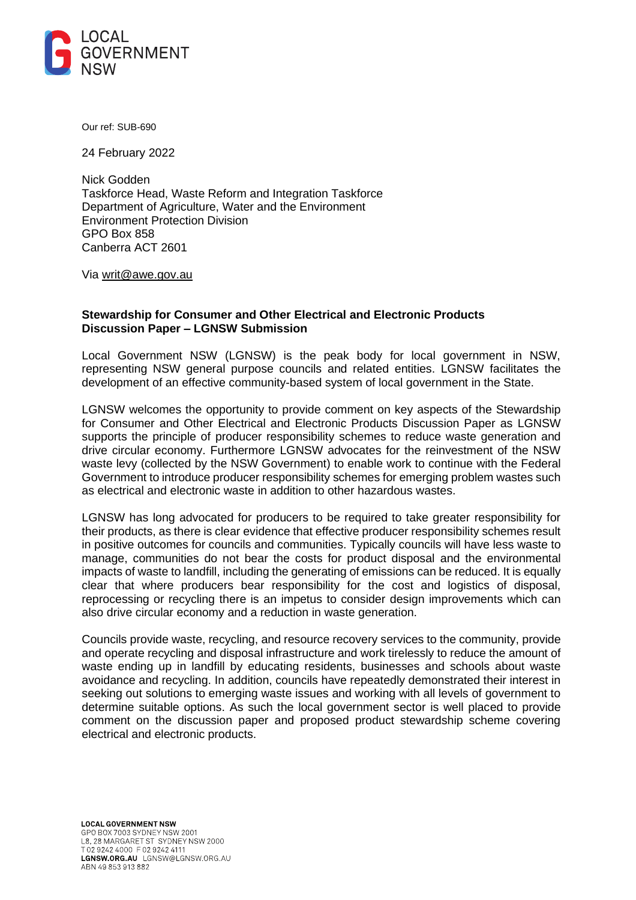

Our ref: SUB-690

24 February 2022

Nick Godden Taskforce Head, Waste Reform and Integration Taskforce Department of Agriculture, Water and the Environment Environment Protection Division GPO Box 858 Canberra ACT 2601

Via [writ@awe.gov.au](mailto:writ@awe.gov.au)

# **Stewardship for Consumer and Other Electrical and Electronic Products Discussion Paper – LGNSW Submission**

Local Government NSW (LGNSW) is the peak body for local government in NSW, representing NSW general purpose councils and related entities. LGNSW facilitates the development of an effective community-based system of local government in the State.

LGNSW welcomes the opportunity to provide comment on key aspects of the Stewardship for Consumer and Other Electrical and Electronic Products Discussion Paper as LGNSW supports the principle of producer responsibility schemes to reduce waste generation and drive circular economy. Furthermore LGNSW advocates for the reinvestment of the NSW waste levy (collected by the NSW Government) to enable work to continue with the Federal Government to introduce producer responsibility schemes for emerging problem wastes such as electrical and electronic waste in addition to other hazardous wastes.

LGNSW has long advocated for producers to be required to take greater responsibility for their products, as there is clear evidence that effective producer responsibility schemes result in positive outcomes for councils and communities. Typically councils will have less waste to manage, communities do not bear the costs for product disposal and the environmental impacts of waste to landfill, including the generating of emissions can be reduced. It is equally clear that where producers bear responsibility for the cost and logistics of disposal, reprocessing or recycling there is an impetus to consider design improvements which can also drive circular economy and a reduction in waste generation.

Councils provide waste, recycling, and resource recovery services to the community, provide and operate recycling and disposal infrastructure and work tirelessly to reduce the amount of waste ending up in landfill by educating residents, businesses and schools about waste avoidance and recycling. In addition, councils have repeatedly demonstrated their interest in seeking out solutions to emerging waste issues and working with all levels of government to determine suitable options. As such the local government sector is well placed to provide comment on the discussion paper and proposed product stewardship scheme covering electrical and electronic products.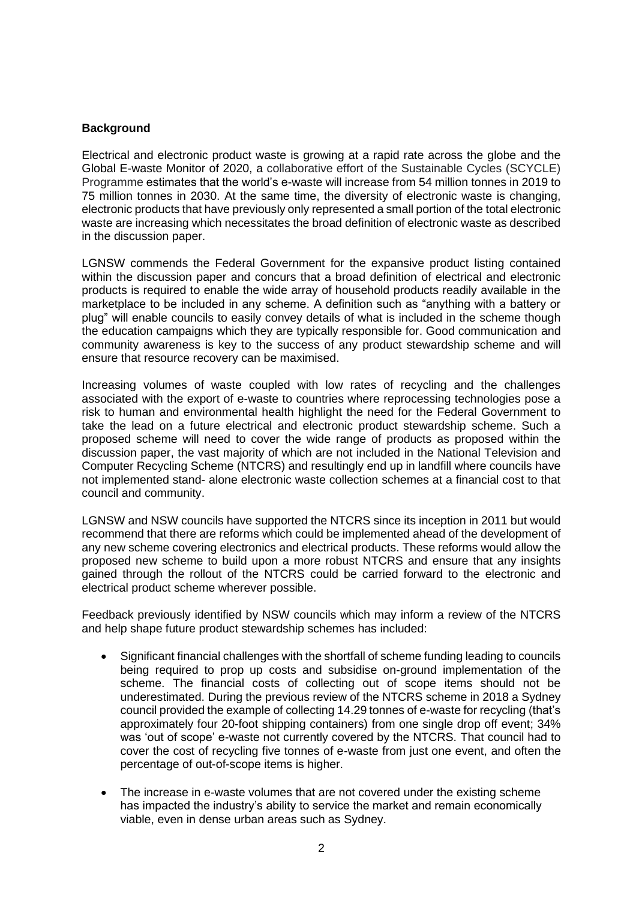# **Background**

Electrical and electronic product waste is growing at a rapid rate across the globe and the Global E-waste Monitor of 2020, a collaborative effort of the Sustainable Cycles (SCYCLE) Programme estimates that the world's e-waste will increase from 54 million tonnes in 2019 to 75 million tonnes in 2030. At the same time, the diversity of electronic waste is changing, electronic products that have previously only represented a small portion of the total electronic waste are increasing which necessitates the broad definition of electronic waste as described in the discussion paper.

LGNSW commends the Federal Government for the expansive product listing contained within the discussion paper and concurs that a broad definition of electrical and electronic products is required to enable the wide array of household products readily available in the marketplace to be included in any scheme. A definition such as "anything with a battery or plug" will enable councils to easily convey details of what is included in the scheme though the education campaigns which they are typically responsible for. Good communication and community awareness is key to the success of any product stewardship scheme and will ensure that resource recovery can be maximised.

Increasing volumes of waste coupled with low rates of recycling and the challenges associated with the export of e-waste to countries where reprocessing technologies pose a risk to human and environmental health highlight the need for the Federal Government to take the lead on a future electrical and electronic product stewardship scheme. Such a proposed scheme will need to cover the wide range of products as proposed within the discussion paper, the vast majority of which are not included in the National Television and Computer Recycling Scheme (NTCRS) and resultingly end up in landfill where councils have not implemented stand- alone electronic waste collection schemes at a financial cost to that council and community.

LGNSW and NSW councils have supported the NTCRS since its inception in 2011 but would recommend that there are reforms which could be implemented ahead of the development of any new scheme covering electronics and electrical products. These reforms would allow the proposed new scheme to build upon a more robust NTCRS and ensure that any insights gained through the rollout of the NTCRS could be carried forward to the electronic and electrical product scheme wherever possible.

Feedback previously identified by NSW councils which may inform a review of the NTCRS and help shape future product stewardship schemes has included:

- Significant financial challenges with the shortfall of scheme funding leading to councils being required to prop up costs and subsidise on-ground implementation of the scheme. The financial costs of collecting out of scope items should not be underestimated. During the previous review of the NTCRS scheme in 2018 a Sydney council provided the example of collecting 14.29 tonnes of e-waste for recycling (that's approximately four 20-foot shipping containers) from one single drop off event; 34% was 'out of scope' e-waste not currently covered by the NTCRS. That council had to cover the cost of recycling five tonnes of e-waste from just one event, and often the percentage of out-of-scope items is higher.
- The increase in e-waste volumes that are not covered under the existing scheme has impacted the industry's ability to service the market and remain economically viable, even in dense urban areas such as Sydney.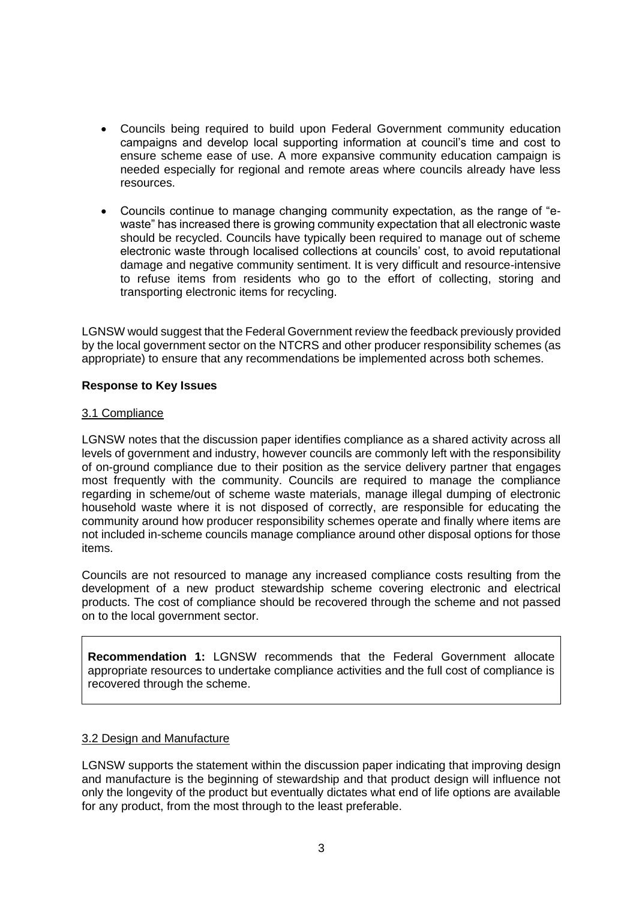- Councils being required to build upon Federal Government community education campaigns and develop local supporting information at council's time and cost to ensure scheme ease of use. A more expansive community education campaign is needed especially for regional and remote areas where councils already have less resources.
- Councils continue to manage changing community expectation, as the range of "ewaste" has increased there is growing community expectation that all electronic waste should be recycled. Councils have typically been required to manage out of scheme electronic waste through localised collections at councils' cost, to avoid reputational damage and negative community sentiment. It is very difficult and resource-intensive to refuse items from residents who go to the effort of collecting, storing and transporting electronic items for recycling.

LGNSW would suggest that the Federal Government review the feedback previously provided by the local government sector on the NTCRS and other producer responsibility schemes (as appropriate) to ensure that any recommendations be implemented across both schemes.

# **Response to Key Issues**

# 3.1 Compliance

LGNSW notes that the discussion paper identifies compliance as a shared activity across all levels of government and industry, however councils are commonly left with the responsibility of on-ground compliance due to their position as the service delivery partner that engages most frequently with the community. Councils are required to manage the compliance regarding in scheme/out of scheme waste materials, manage illegal dumping of electronic household waste where it is not disposed of correctly, are responsible for educating the community around how producer responsibility schemes operate and finally where items are not included in-scheme councils manage compliance around other disposal options for those items.

Councils are not resourced to manage any increased compliance costs resulting from the development of a new product stewardship scheme covering electronic and electrical products. The cost of compliance should be recovered through the scheme and not passed on to the local government sector.

**Recommendation 1:** LGNSW recommends that the Federal Government allocate appropriate resources to undertake compliance activities and the full cost of compliance is recovered through the scheme.

### 3.2 Design and Manufacture

LGNSW supports the statement within the discussion paper indicating that improving design and manufacture is the beginning of stewardship and that product design will influence not only the longevity of the product but eventually dictates what end of life options are available for any product, from the most through to the least preferable.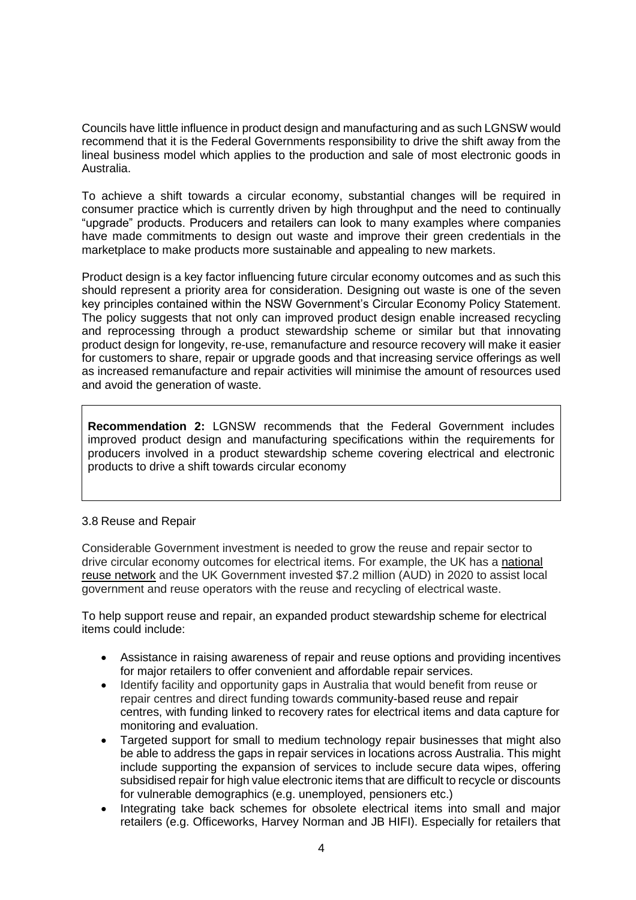Councils have little influence in product design and manufacturing and as such LGNSW would recommend that it is the Federal Governments responsibility to drive the shift away from the lineal business model which applies to the production and sale of most electronic goods in Australia.

To achieve a shift towards a circular economy, substantial changes will be required in consumer practice which is currently driven by high throughput and the need to continually "upgrade" products. Producers and retailers can look to many examples where companies have made commitments to design out waste and improve their green credentials in the marketplace to make products more sustainable and appealing to new markets.

Product design is a key factor influencing future circular economy outcomes and as such this should represent a priority area for consideration. Designing out waste is one of the seven key principles contained within the NSW Government's Circular Economy Policy Statement. The policy suggests that not only can improved product design enable increased recycling and reprocessing through a product stewardship scheme or similar but that innovating product design for longevity, re-use, remanufacture and resource recovery will make it easier for customers to share, repair or upgrade goods and that increasing service offerings as well as increased remanufacture and repair activities will minimise the amount of resources used and avoid the generation of waste.

**Recommendation 2:** LGNSW recommends that the Federal Government includes improved product design and manufacturing specifications within the requirements for producers involved in a product stewardship scheme covering electrical and electronic products to drive a shift towards circular economy

# 3.8 Reuse and Repair

Considerable Government investment is needed to grow the reuse and repair sector to drive circular economy outcomes for electrical items. For example, the UK has a [national](https://reuse-network.org.uk/)  [reuse network](https://reuse-network.org.uk/) and the UK Government invested \$7.2 million (AUD) in 2020 to assist local government and reuse operators with the reuse and recycling of electrical waste.

To help support reuse and repair, an expanded product stewardship scheme for electrical items could include:

- Assistance in raising awareness of repair and reuse options and providing incentives for major retailers to offer convenient and affordable repair services.
- Identify facility and opportunity gaps in Australia that would benefit from reuse or repair centres and direct funding towards community-based reuse and repair centres, with funding linked to recovery rates for electrical items and data capture for monitoring and evaluation.
- Targeted support for small to medium technology repair businesses that might also be able to address the gaps in repair services in locations across Australia. This might include supporting the expansion of services to include secure data wipes, offering subsidised repair for high value electronic items that are difficult to recycle or discounts for vulnerable demographics (e.g. unemployed, pensioners etc.)
- Integrating take back schemes for obsolete electrical items into small and major retailers (e.g. Officeworks, Harvey Norman and JB HIFI). Especially for retailers that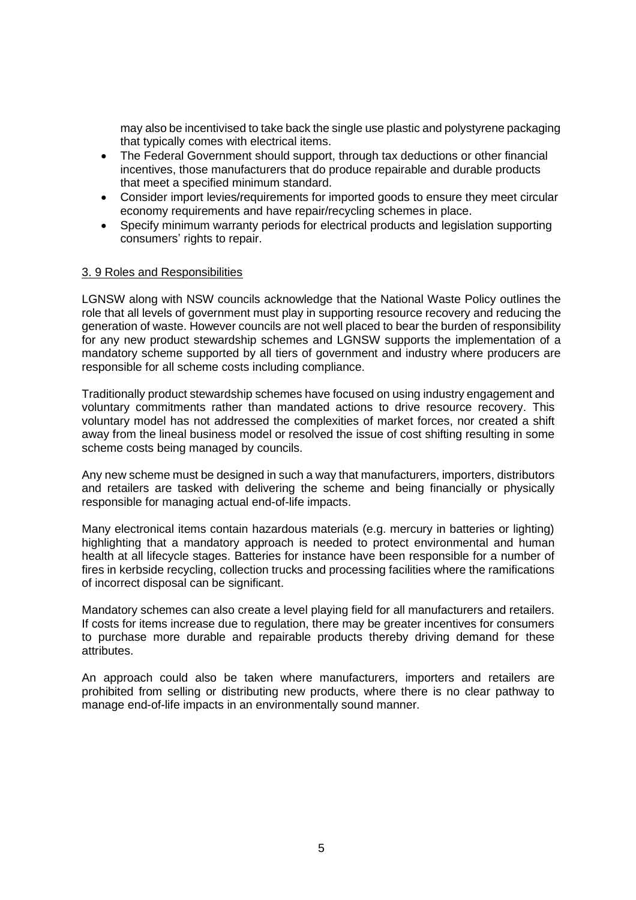may also be incentivised to take back the single use plastic and polystyrene packaging that typically comes with electrical items.

- The Federal Government should support, through tax deductions or other financial incentives, those manufacturers that do produce repairable and durable products that meet a specified minimum standard.
- Consider import levies/requirements for imported goods to ensure they meet circular economy requirements and have repair/recycling schemes in place.
- Specify minimum warranty periods for electrical products and legislation supporting consumers' rights to repair.

# 3. 9 Roles and Responsibilities

LGNSW along with NSW councils acknowledge that the National Waste Policy outlines the role that all levels of government must play in supporting resource recovery and reducing the generation of waste. However councils are not well placed to bear the burden of responsibility for any new product stewardship schemes and LGNSW supports the implementation of a mandatory scheme supported by all tiers of government and industry where producers are responsible for all scheme costs including compliance.

Traditionally product stewardship schemes have focused on using industry engagement and voluntary commitments rather than mandated actions to drive resource recovery. This voluntary model has not addressed the complexities of market forces, nor created a shift away from the lineal business model or resolved the issue of cost shifting resulting in some scheme costs being managed by councils.

Any new scheme must be designed in such a way that manufacturers, importers, distributors and retailers are tasked with delivering the scheme and being financially or physically responsible for managing actual end-of-life impacts.

Many electronical items contain hazardous materials (e.g. mercury in batteries or lighting) highlighting that a mandatory approach is needed to protect environmental and human health at all lifecycle stages. Batteries for instance have been responsible for a number of fires in kerbside recycling, collection trucks and processing facilities where the ramifications of incorrect disposal can be significant.

Mandatory schemes can also create a level playing field for all manufacturers and retailers. If costs for items increase due to regulation, there may be greater incentives for consumers to purchase more durable and repairable products thereby driving demand for these attributes.

An approach could also be taken where manufacturers, importers and retailers are prohibited from selling or distributing new products, where there is no clear pathway to manage end-of-life impacts in an environmentally sound manner.